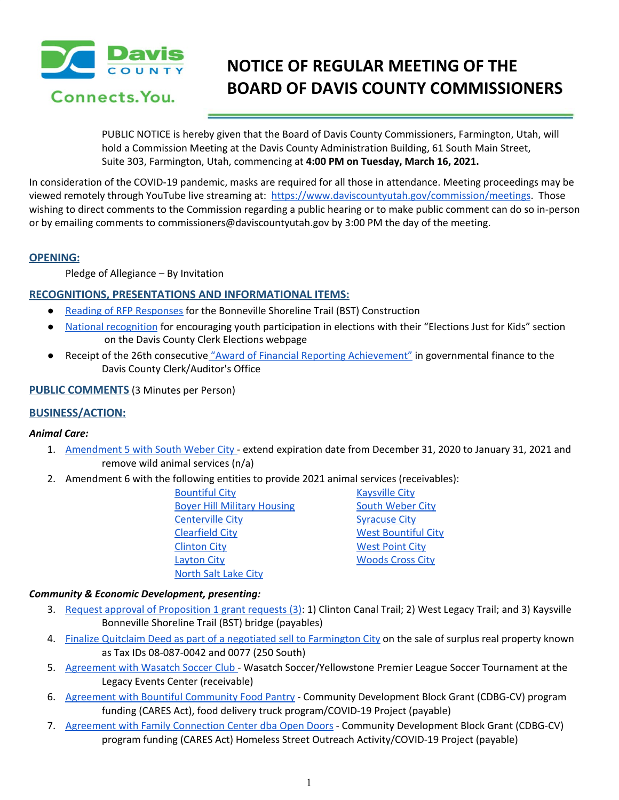

# **NOTICE OF REGULAR MEETING OF THE BOARD OF DAVIS COUNTY COMMISSIONERS**

PUBLIC NOTICE is hereby given that the Board of Davis County Commissioners, Farmington, Utah, will hold a Commission Meeting at the Davis County Administration Building, 61 South Main Street, Suite 303, Farmington, Utah, commencing at **4:00 PM on Tuesday, March 16, 2021.**

In consideration of the COVID-19 pandemic, masks are required for all those in attendance. Meeting proceedings may be viewed remotely through YouTube live streaming at: <https://www.daviscountyutah.gov/commission/meetings>. Those wishing to direct comments to the Commission regarding a public hearing or to make public comment can do so in-person or by emailing comments to commissioners@daviscountyutah.gov by 3:00 PM the day of the meeting.

## **OPENING:**

Pledge of Allegiance – By Invitation

# **RECOGNITIONS, PRESENTATIONS AND INFORMATIONAL ITEMS:**

- Reading of RFP [Responses](https://drive.google.com/file/d/18KbRxUPi5BCWARqsR_UICsXS4Ea_5Nzd/view?usp=drivesdk) for the Bonneville Shoreline Trail (BST) Construction
- National [recognition](https://drive.google.com/file/d/1DIOEMQtLrpsmfEMXLGvrBqe3v8YrxD0V/view?usp=drivesdk) for encouraging youth participation in elections with their "Elections Just for Kids" section on the Davis County Clerk Elections webpage
- Receipt of the 26th consecutive "Award of Financial Reporting [Achievement"](https://drive.google.com/file/d/1bnzcvcIDQZy3qzFsChOvycjUEoUE_R6r/view?usp=drivesdk) in governmental finance to the Davis County Clerk/Auditor's Office

**PUBLIC COMMENTS** (3 Minutes per Person)

# **BUSINESS/ACTION:**

## *Animal Care:*

- 1. [Amendment](https://drive.google.com/file/d/1TYGUuApDeJxEfeOQ-tkwuf3APtwCMZm8/view?usp=drivesdk) 5 with South Weber City extend expiration date from December 31, 2020 to January 31, 2021 and remove wild animal services (n/a)
- 2. Amendment 6 with the following entities to provide 2021 animal services (receivables):

| <u> Bountiful City</u>             |  |
|------------------------------------|--|
| <b>Boyer Hill Military Housing</b> |  |
| <u>Centerville City</u>            |  |
| <b>Clearfield City</b>             |  |
| <b>Clinton City</b>                |  |
| <b>Layton City</b>                 |  |
| North Salt Lake City               |  |

**[Kaysville](https://drive.google.com/file/d/1rgy9BWGaX1xh_BUHjryS3Y0pFdGQOv1A/view?usp=drivesdk) City** South [Weber](https://drive.google.com/file/d/1Ii_z_UxW770TVYzTJ9r-vjcI7AYhg3Do/view?usp=drivesdk) City [Syracuse](https://drive.google.com/file/d/1UawvoirU88mHEFwMe_THE7XHIu6wE2iG/view?usp=drivesdk) City **West [Bountiful](https://drive.google.com/file/d/1bMFEyV6fdxAtuLhFGxuKUeDrIDhi38H3/view?usp=drivesdk) City West [Point](https://drive.google.com/file/d/1g-2HvMIZicQEfQgY73gTPGbKuIz4V_Rq/view?usp=drivesdk) City [Woods](https://drive.google.com/file/d/1FpzT3wTkNkKzeX5FuBI0U7WSwG_h5NdL/view?usp=drivesdk) Cross City** 

## *Community & Economic Development, presenting:*

- 3. Request approval of [Proposition](https://drive.google.com/file/d/193XGJXHKPyU2owp0k9YkIR1xNKpJBbCO/view?usp=drivesdk) 1 grant requests (3): 1) Clinton Canal Trail; 2) West Legacy Trail; and 3) Kaysville Bonneville Shoreline Trail (BST) bridge (payables)
- 4. Finalize Quitclaim Deed as part of a negotiated sell to [Farmington](https://drive.google.com/file/d/1tZ3OdPstagXDYj7dNsM_Gn12wHONxWuZ/view?usp=drivesdk) City on the sale of surplus real property known as Tax IDs 08-087-0042 and 0077 (250 South)
- 5. [Agreement](https://drive.google.com/file/d/1GfZp_5CJl324o9FGYmfgf7gSdR0Qz-ct/view?usp=drivesdk) with Wasatch Soccer Club Wasatch Soccer/Yellowstone Premier League Soccer Tournament at the Legacy Events Center (receivable)
- 6. Agreement with Bountiful [Community](https://drive.google.com/file/d/1iyu6UIrnUVN-7CUFsl3PYh-E4w5x-J4J/view?usp=drivesdk) Food Pantry Community Development Block Grant (CDBG-CV) program funding (CARES Act), food delivery truck program/COVID-19 Project (payable[\)](https://drive.google.com/file/d/1iyu6UIrnUVN-7CUFsl3PYh-E4w5x-J4J/view?usp=drivesdk)
- 7. Agreement with Family [Connection](https://drive.google.com/file/d/1mM7-8n3jcUddkDS2EiV2eOwV-VKV-rEs/view?usp=drivesdk) Center dba Open Doors Community Development Block Grant (CDBG-CV) program funding (CARES Act) Homeless Street Outreach Activity/COVID-19 Project (payable)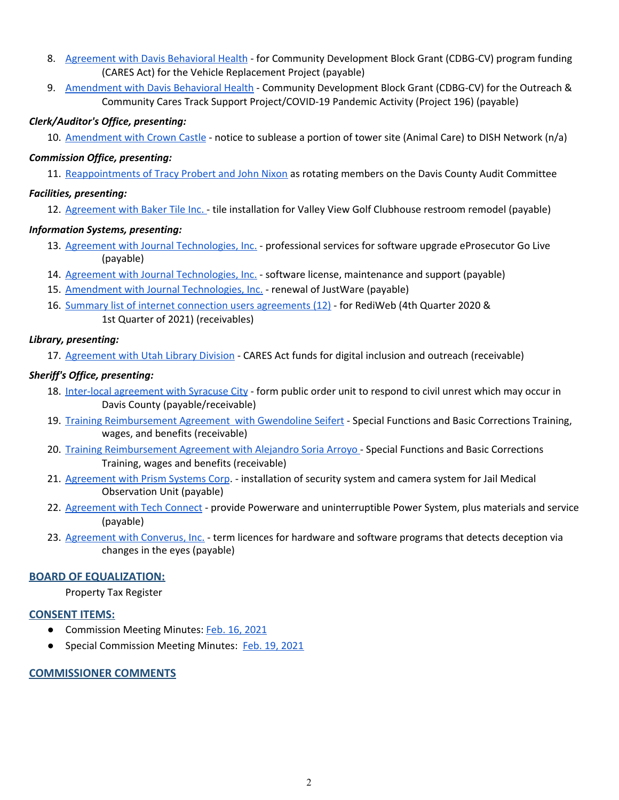- 8. [Agreement](https://drive.google.com/file/d/1YTDvBlKrr5mVW20uW7CHKC-A19rKTJPy/view?usp=drivesdk) with Davis Behavioral Health for Community Development Block Grant (CDBG-CV) program funding (CARES Act) for the Vehicle Replacement Project (payable)
- 9. [Amendment](https://drive.google.com/file/d/11AxoVUp91Y1RCuGa9KMfyF2OZjSGU-Kk/view?usp=drivesdk) with Davis Behavioral Health Community Development Block Grant (CDBG-CV) for the Outreach & Community Cares Track Support Project/COVID-19 Pandemic Activity (Project 196) (payable)

#### *Clerk/Auditor's Office, presenting:*

10. [Amendment](https://drive.google.com/file/d/102PDK1qGj5MktMb9isWTc_3JdCZ4T_2m/view?usp=drivesdk) with Crown Castle - notice to sublease a portion of tower site (Animal Care) to DISH Network (n/a)

#### *Commission Office, presenting:*

11. [Reappointments](https://drive.google.com/file/d/14of2DklCGYtOdIFD18rg5ge51MG8Dg3n/view?usp=drivesdk) of Tracy Probert and John Nixon as rotating members on the Davis County Audit Committee

#### *Facilities, presenting:*

12. [Agreement](https://drive.google.com/file/d/1DNAcarPfRYWNJUw47uFpkIrxQWqRtM_f/view?usp=drivesdk) with Baker Tile Inc. - tile installation for Valley View Golf Clubhouse restroom remodel (payable)

#### *Information Systems, presenting:*

- 13. Agreement with Journal [Technologies,](https://drive.google.com/file/d/1rCgiSDgVBVf22lNS8HWKb9vAJbSro5T9/view?usp=drivesdk) Inc. professional services for software upgrade eProsecutor Go Live (payable)
- 14. Agreement with Journal [Technologies,](https://drive.google.com/file/d/1SMFMW_ajNxrLpSyv2PeieR-hw8NtFwGR/view?usp=drivesdk) Inc. software license, maintenance and support (payable)
- 15. Amendment with Journal [Technologies,](https://drive.google.com/file/d/1W8yiltqzEn-M0ohICcVG8RUJG_YZYA1b/view?usp=drivesdk) Inc. renewal of JustWare (payable)
- 16. Summary list of internet connection users [agreements](https://drive.google.com/file/d/1A3k5vr4dRsQdayHVr78Qawei8RLfKTuA/view?usp=drivesdk) (12) for RediWeb (4th Quarter 2020 & 1st Quarter of 2021) (receivables)

#### *Library, presenting:*

17. [Agreement](https://drive.google.com/file/d/1De4Sbiqpv3MiSWQVEpF1-uHGi_EKK7yB/view?usp=drivesdk) with Utah Library Division - CARES Act funds for digital inclusion and outreach (receivable)

## *Sheriff's Office, presenting:*

- 18. Inter-local [agreement](https://drive.google.com/file/d/1hTW2dBMD07NmcTXtOG3KLXOPjoc4cAeA/view?usp=drivesdk) with Syracuse City form public order unit to respond to civil unrest which may occur in Davis County (payable/receivable)
- 19. Training [Reimbursement](https://drive.google.com/file/d/17Lz0DPU8vPnSYAZLBG1jX_Wti-Cw7zSF/view?usp=drivesdk) Agreement with Gwendoline Seifert Special Functions and Basic Corrections Training, wages, and benefits (receivable)
- 20. Training [Reimbursement](https://drive.google.com/file/d/1Rsiy_ckkFIy-TuVEEV8e3sXrGqD9SX1s/view?usp=drivesdk) Agreement with Alejandro Soria Arroyo Special Functions and Basic Corrections Training, wages and benefits (receivable)
- 21. [Agreement](https://drive.google.com/file/d/1Z6rdEclchqcuIZcP2S3z35v0cPyH-TyN/view?usp=drivesdk) with Prism Systems Corp. installation of security system and camera system for Jail Medical Observation Unit (payable)
- 22. [Agreement](https://drive.google.com/file/d/12F68B8kqHmMSy8D7XW5r6XAzBbfMHArr/view?usp=drivesdk) with Tech Connect provide Powerware and uninterruptible Power System, plus materials and service (payable)
- 23. [Agreement](https://drive.google.com/file/d/1QYi_Tj4SMxpJJfyt9_pGv_wAujjrzqGR/view?usp=drivesdk) with Converus, Inc. term licences for hardware and software programs that detects deception via changes in the eyes (payable)

## **BOARD OF EQUALIZATION:**

Property Tax Register

#### **CONSENT ITEMS:**

- Commission Meeting Minutes: Feb. 16, [2021](https://drive.google.com/file/d/1SUI-pWjWcDXAdol7sV3G2h1lBXNwx_Em/view?usp=drivesdk)
- Special Commission Meeting Minutes: Feb. 19, [2021](https://drive.google.com/file/d/1yssyo0sS-3lAjJ-oAdjAbJVRyDHfkLR0/view?usp=drivesdk)

## **COMMISSIONER COMMENTS**